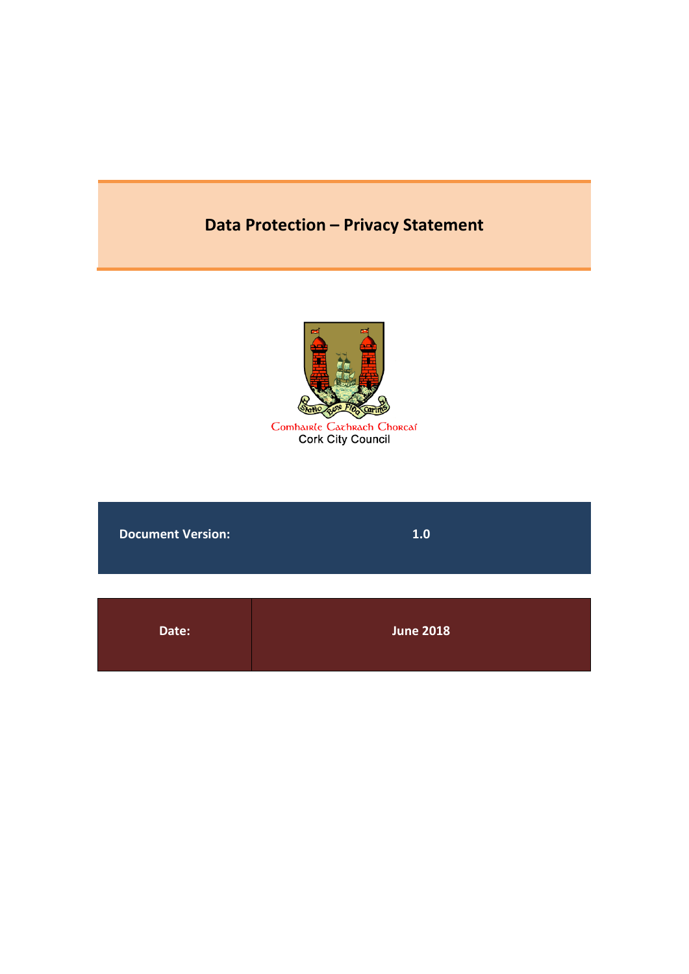# **Data Protection – [Privacy Statement](#page-2-0)**



Comhairle Cachrach Chorcaí<br>Cork City Council

**[Document Version:](#page-2-0) [1.0](#page-2-0)**

| Date: | <b>June 2018</b> |
|-------|------------------|
|       |                  |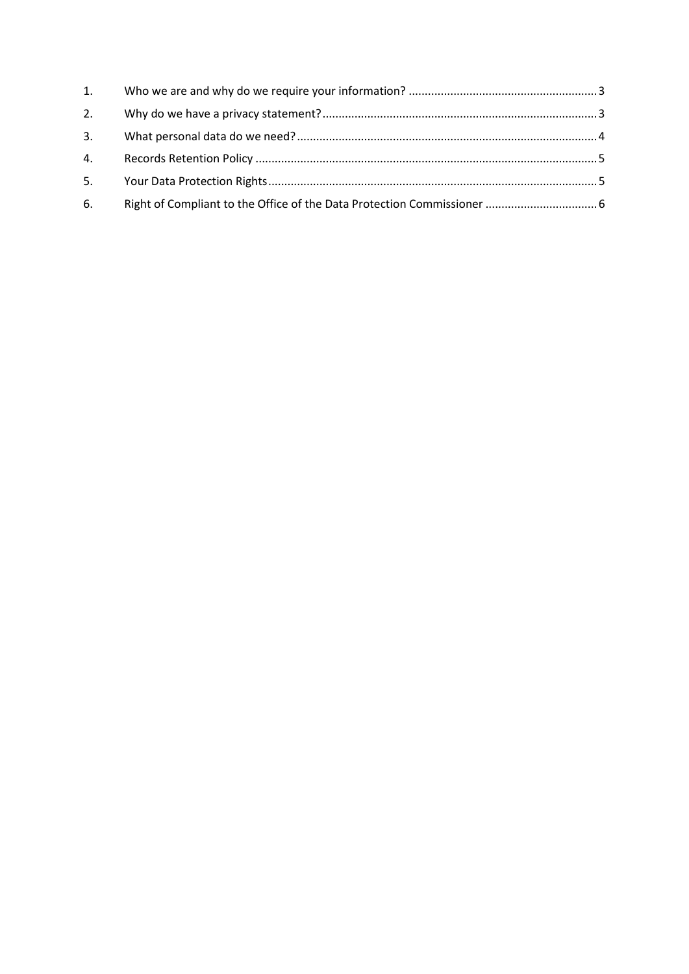| 6. |  |
|----|--|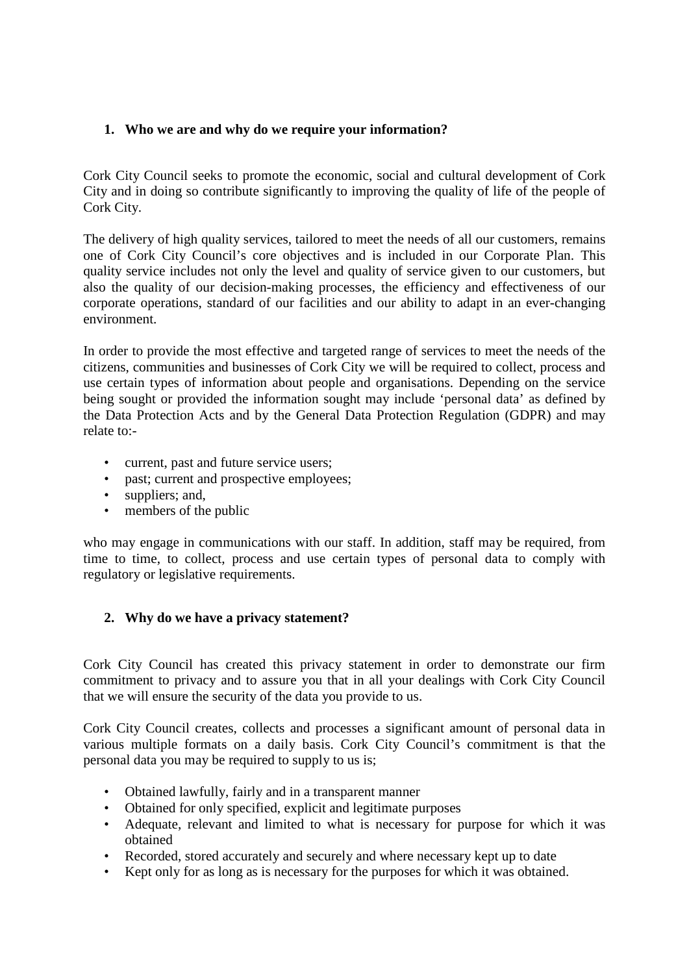# <span id="page-2-0"></span>**1. Who we are and why do we require your information?**

Cork City Council seeks to promote the economic, social and cultural development of Cork City and in doing so contribute significantly to improving the quality of life of the people of Cork City.

The delivery of high quality services, tailored to meet the needs of all our customers, remains one of Cork City Council's core objectives and is included in our Corporate Plan. This quality service includes not only the level and quality of service given to our customers, but also the quality of our decision-making processes, the efficiency and effectiveness of our corporate operations, standard of our facilities and our ability to adapt in an ever-changing environment.

In order to provide the most effective and targeted range of services to meet the needs of the citizens, communities and businesses of Cork City we will be required to collect, process and use certain types of information about people and organisations. Depending on the service being sought or provided the information sought may include 'personal data' as defined by the Data Protection Acts and by the General Data Protection Regulation (GDPR) and may relate to:-

- current, past and future service users;
- past; current and prospective employees;
- suppliers; and,
- members of the public

who may engage in communications with our staff. In addition, staff may be required, from time to time, to collect, process and use certain types of personal data to comply with regulatory or legislative requirements.

# <span id="page-2-1"></span>**2. Why do we have a privacy statement?**

Cork City Council has created this privacy statement in order to demonstrate our firm commitment to privacy and to assure you that in all your dealings with Cork City Council that we will ensure the security of the data you provide to us.

Cork City Council creates, collects and processes a significant amount of personal data in various multiple formats on a daily basis. Cork City Council's commitment is that the personal data you may be required to supply to us is;

- Obtained lawfully, fairly and in a transparent manner
- Obtained for only specified, explicit and legitimate purposes
- Adequate, relevant and limited to what is necessary for purpose for which it was obtained
- Recorded, stored accurately and securely and where necessary kept up to date
- Kept only for as long as is necessary for the purposes for which it was obtained.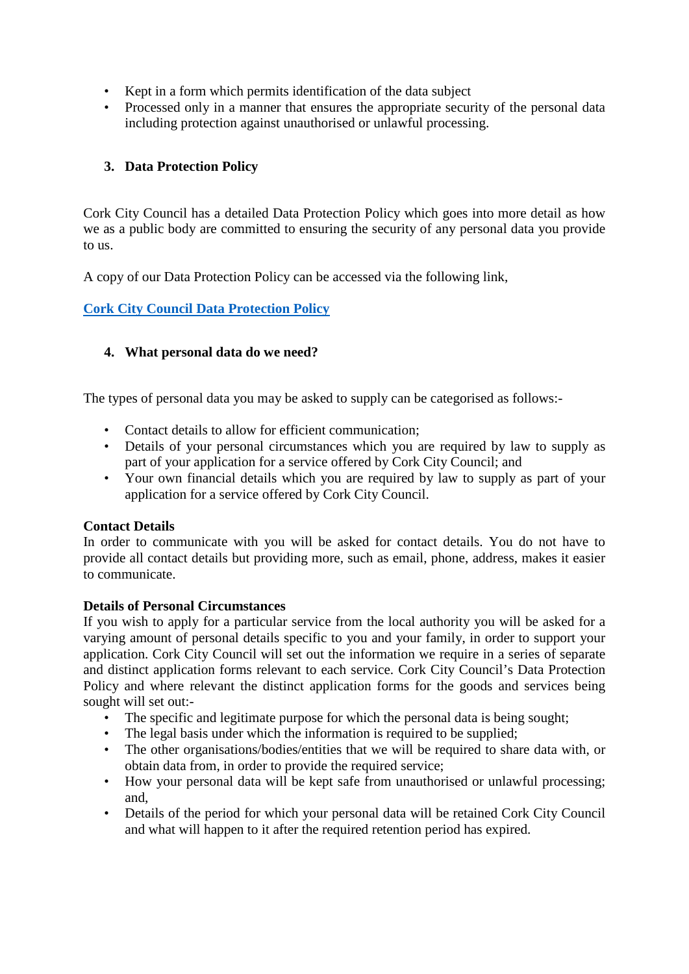- Kept in a form which permits identification of the data subject
- Processed only in a manner that ensures the appropriate security of the personal data including protection against unauthorised or unlawful processing.

# **3. Data Protection Policy**

Cork City Council has a detailed Data Protection Policy which goes into more detail as how we as a public body are committed to ensuring the security of any personal data you provide to us.

A copy of our Data Protection Policy can be accessed via the following link,

# **[Cork City Council Data Protection Policy](http://www.corkcity.ie/services/corporateandexternalaffairs/data%20protection/data%20protection%20policy/)**

## <span id="page-3-0"></span>**4. What personal data do we need?**

The types of personal data you may be asked to supply can be categorised as follows:-

- Contact details to allow for efficient communication;
- Details of your personal circumstances which you are required by law to supply as part of your application for a service offered by Cork City Council; and
- Your own financial details which you are required by law to supply as part of your application for a service offered by Cork City Council.

#### **Contact Details**

In order to communicate with you will be asked for contact details. You do not have to provide all contact details but providing more, such as email, phone, address, makes it easier to communicate.

#### **Details of Personal Circumstances**

If you wish to apply for a particular service from the local authority you will be asked for a varying amount of personal details specific to you and your family, in order to support your application. Cork City Council will set out the information we require in a series of separate and distinct application forms relevant to each service. Cork City Council's Data Protection Policy and where relevant the distinct application forms for the goods and services being sought will set out:-

- The specific and legitimate purpose for which the personal data is being sought;
- The legal basis under which the information is required to be supplied;
- The other organisations/bodies/entities that we will be required to share data with, or obtain data from, in order to provide the required service;
- How your personal data will be kept safe from unauthorised or unlawful processing: and,
- Details of the period for which your personal data will be retained Cork City Council and what will happen to it after the required retention period has expired.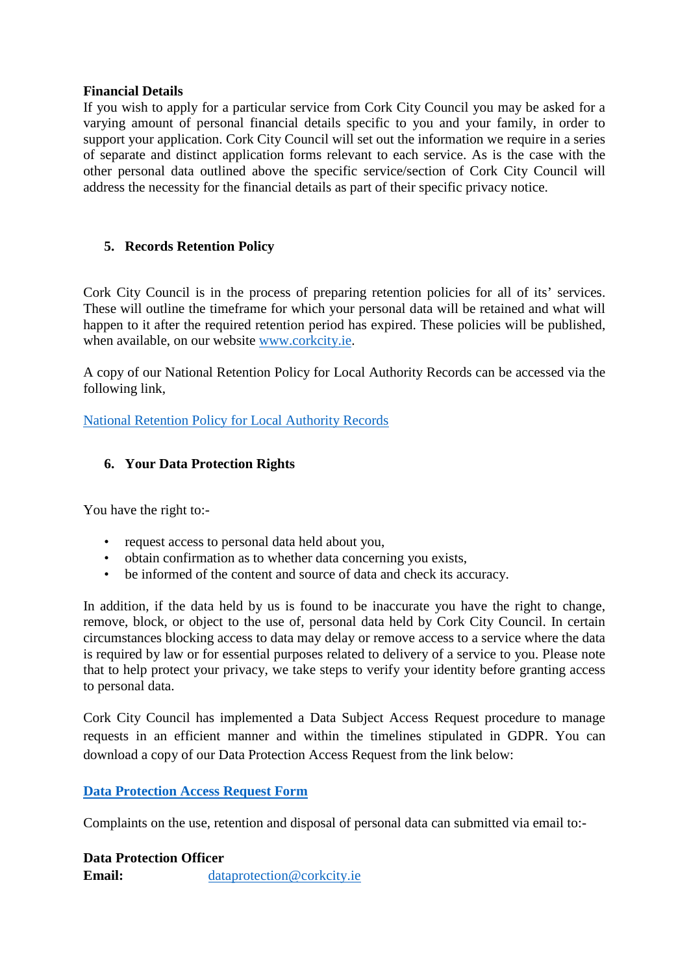#### **Financial Details**

If you wish to apply for a particular service from Cork City Council you may be asked for a varying amount of personal financial details specific to you and your family, in order to support your application. Cork City Council will set out the information we require in a series of separate and distinct application forms relevant to each service. As is the case with the other personal data outlined above the specific service/section of Cork City Council will address the necessity for the financial details as part of their specific privacy notice.

# <span id="page-4-0"></span>**5. Records Retention Policy**

Cork City Council is in the process of preparing retention policies for all of its' services. These will outline the timeframe for which your personal data will be retained and what will happen to it after the required retention period has expired. These policies will be published, when available, on our website [www.corkcity.ie.](http://www.corkcity.ie/)

A copy of our National Retention Policy for Local Authority Records can be accessed via the following link,

National [Retention Policy for Local Authority Records](http://www.lgma.ie/sites/default/files/2002_national_retention_policy_for_local_authority_records_2.pdf)

# <span id="page-4-1"></span>**6. Your Data Protection Rights**

You have the right to:-

- request access to personal data held about you,
- obtain confirmation as to whether data concerning you exists,
- be informed of the content and source of data and check its accuracy.

In addition, if the data held by us is found to be inaccurate you have the right to change, remove, block, or object to the use of, personal data held by Cork City Council. In certain circumstances blocking access to data may delay or remove access to a service where the data is required by law or for essential purposes related to delivery of a service to you. Please note that to help protect your privacy, we take steps to verify your identity before granting access to personal data.

Cork City Council has implemented a Data Subject Access Request procedure to manage requests in an efficient manner and within the timelines stipulated in GDPR. You can download a copy of our Data Protection Access Request from the link below:

# **[Data Protection Access Request Form](http://www.corkcity.ie/services/corporateandexternalaffairs/data%20protection/how%20to%20make%20a%20data%20access%20request/)**

Complaints on the use, retention and disposal of personal data can submitted via email to:-

**Data Protection Officer Email:** [dataprotection@corkcity.ie](mailto:dataprotection@corkcity.ie)